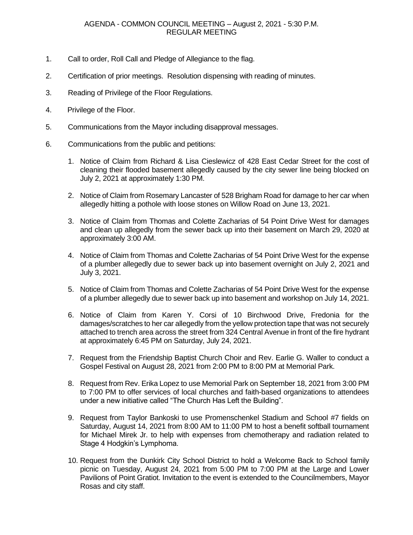- 1. Call to order, Roll Call and Pledge of Allegiance to the flag.
- 2. Certification of prior meetings. Resolution dispensing with reading of minutes.
- 3. Reading of Privilege of the Floor Regulations.
- 4. Privilege of the Floor.
- 5. Communications from the Mayor including disapproval messages.
- 6. Communications from the public and petitions:
	- 1. Notice of Claim from Richard & Lisa Cieslewicz of 428 East Cedar Street for the cost of cleaning their flooded basement allegedly caused by the city sewer line being blocked on July 2, 2021 at approximately 1:30 PM.
	- 2. Notice of Claim from Rosemary Lancaster of 528 Brigham Road for damage to her car when allegedly hitting a pothole with loose stones on Willow Road on June 13, 2021.
	- 3. Notice of Claim from Thomas and Colette Zacharias of 54 Point Drive West for damages and clean up allegedly from the sewer back up into their basement on March 29, 2020 at approximately 3:00 AM.
	- 4. Notice of Claim from Thomas and Colette Zacharias of 54 Point Drive West for the expense of a plumber allegedly due to sewer back up into basement overnight on July 2, 2021 and July 3, 2021.
	- 5. Notice of Claim from Thomas and Colette Zacharias of 54 Point Drive West for the expense of a plumber allegedly due to sewer back up into basement and workshop on July 14, 2021.
	- 6. Notice of Claim from Karen Y. Corsi of 10 Birchwood Drive, Fredonia for the damages/scratches to her car allegedly from the yellow protection tape that was not securely attached to trench area across the street from 324 Central Avenue in front of the fire hydrant at approximately 6:45 PM on Saturday, July 24, 2021.
	- 7. Request from the Friendship Baptist Church Choir and Rev. Earlie G. Waller to conduct a Gospel Festival on August 28, 2021 from 2:00 PM to 8:00 PM at Memorial Park.
	- 8. Request from Rev. Erika Lopez to use Memorial Park on September 18, 2021 from 3:00 PM to 7:00 PM to offer services of local churches and faith-based organizations to attendees under a new initiative called "The Church Has Left the Building".
	- 9. Request from Taylor Bankoski to use Promenschenkel Stadium and School #7 fields on Saturday, August 14, 2021 from 8:00 AM to 11:00 PM to host a benefit softball tournament for Michael Mirek Jr. to help with expenses from chemotherapy and radiation related to Stage 4 Hodgkin's Lymphoma.
	- 10. Request from the Dunkirk City School District to hold a Welcome Back to School family picnic on Tuesday, August 24, 2021 from 5:00 PM to 7:00 PM at the Large and Lower Pavilions of Point Gratiot. Invitation to the event is extended to the Councilmembers, Mayor Rosas and city staff.